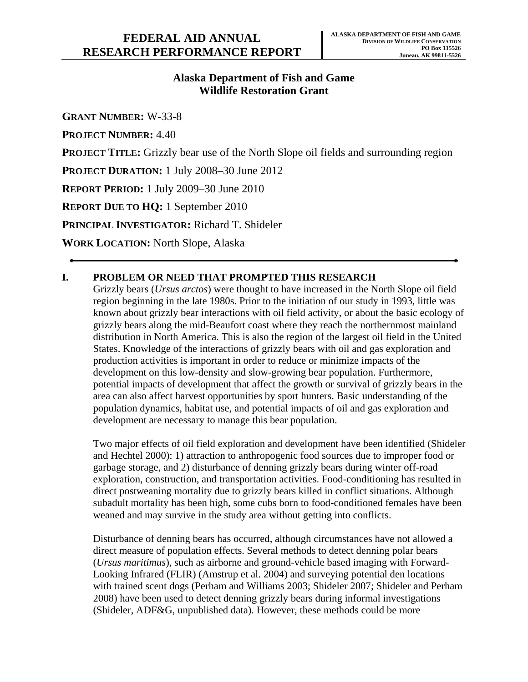# **Alaska Department of Fish and Game Wildlife Restoration Grant**

**GRANT NUMBER:** W-33-8

**PROJECT NUMBER:** 4.40

**PROJECT TITLE:** Grizzly bear use of the North Slope oil fields and surrounding region

**PROJECT DURATION:** 1 July 2008–30 June 2012

**REPORT PERIOD:** 1 July 2009–30 June 2010

**REPORT DUE TO HQ:** 1 September 2010

**PRINCIPAL INVESTIGATOR:** Richard T. Shideler

**WORK LOCATION:** North Slope, Alaska

# **I. PROBLEM OR NEED THAT PROMPTED THIS RESEARCH**

Grizzly bears (*Ursus arctos*) were thought to have increased in the North Slope oil field region beginning in the late 1980s. Prior to the initiation of our study in 1993, little was known about grizzly bear interactions with oil field activity, or about the basic ecology of grizzly bears along the mid-Beaufort coast where they reach the northernmost mainland distribution in North America. This is also the region of the largest oil field in the United States. Knowledge of the interactions of grizzly bears with oil and gas exploration and production activities is important in order to reduce or minimize impacts of the development on this low-density and slow-growing bear population. Furthermore, potential impacts of development that affect the growth or survival of grizzly bears in the area can also affect harvest opportunities by sport hunters. Basic understanding of the population dynamics, habitat use, and potential impacts of oil and gas exploration and development are necessary to manage this bear population.

Two major effects of oil field exploration and development have been identified (Shideler and Hechtel 2000): 1) attraction to anthropogenic food sources due to improper food or garbage storage, and 2) disturbance of denning grizzly bears during winter off-road exploration, construction, and transportation activities. Food-conditioning has resulted in direct postweaning mortality due to grizzly bears killed in conflict situations. Although subadult mortality has been high, some cubs born to food-conditioned females have been weaned and may survive in the study area without getting into conflicts.

Disturbance of denning bears has occurred, although circumstances have not allowed a direct measure of population effects. Several methods to detect denning polar bears (*Ursus maritimus*), such as airborne and ground-vehicle based imaging with Forward-Looking Infrared (FLIR) (Amstrup et al. 2004) and surveying potential den locations with trained scent dogs (Perham and Williams 2003; Shideler 2007; Shideler and Perham 2008) have been used to detect denning grizzly bears during informal investigations (Shideler, ADF&G, unpublished data). However, these methods could be more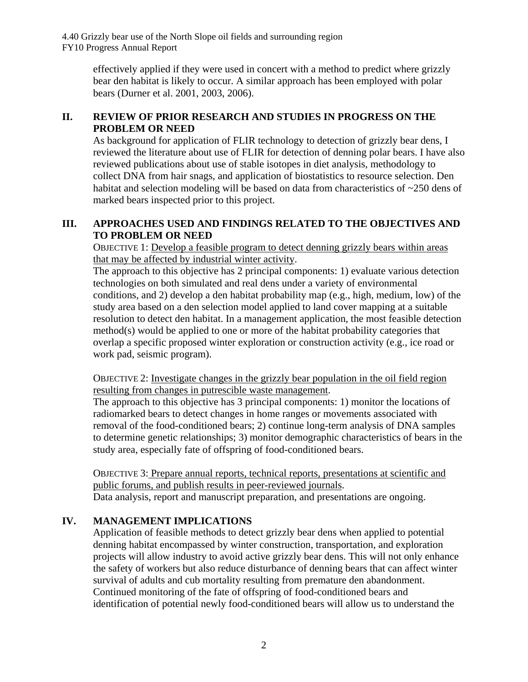> effectively applied if they were used in concert with a method to predict where grizzly bear den habitat is likely to occur. A similar approach has been employed with polar bears (Durner et al. 2001, 2003, 2006).

## **II. REVIEW OF PRIOR RESEARCH AND STUDIES IN PROGRESS ON THE PROBLEM OR NEED**

As background for application of FLIR technology to detection of grizzly bear dens, I reviewed the literature about use of FLIR for detection of denning polar bears. I have also reviewed publications about use of stable isotopes in diet analysis, methodology to collect DNA from hair snags, and application of biostatistics to resource selection. Den habitat and selection modeling will be based on data from characteristics of ~250 dens of marked bears inspected prior to this project.

## **III. APPROACHES USED AND FINDINGS RELATED TO THE OBJECTIVES AND TO PROBLEM OR NEED**

OBJECTIVE 1: Develop a feasible program to detect denning grizzly bears within areas that may be affected by industrial winter activity.

The approach to this objective has 2 principal components: 1) evaluate various detection technologies on both simulated and real dens under a variety of environmental conditions, and 2) develop a den habitat probability map (e.g., high, medium, low) of the study area based on a den selection model applied to land cover mapping at a suitable resolution to detect den habitat. In a management application, the most feasible detection method(s) would be applied to one or more of the habitat probability categories that overlap a specific proposed winter exploration or construction activity (e.g., ice road or work pad, seismic program).

OBJECTIVE 2: Investigate changes in the grizzly bear population in the oil field region resulting from changes in putrescible waste management.

The approach to this objective has 3 principal components: 1) monitor the locations of radiomarked bears to detect changes in home ranges or movements associated with removal of the food-conditioned bears; 2) continue long-term analysis of DNA samples to determine genetic relationships; 3) monitor demographic characteristics of bears in the study area, especially fate of offspring of food-conditioned bears.

OBJECTIVE 3: Prepare annual reports, technical reports, presentations at scientific and public forums, and publish results in peer-reviewed journals. Data analysis, report and manuscript preparation, and presentations are ongoing.

# **IV. MANAGEMENT IMPLICATIONS**

Application of feasible methods to detect grizzly bear dens when applied to potential denning habitat encompassed by winter construction, transportation, and exploration projects will allow industry to avoid active grizzly bear dens. This will not only enhance the safety of workers but also reduce disturbance of denning bears that can affect winter survival of adults and cub mortality resulting from premature den abandonment. Continued monitoring of the fate of offspring of food-conditioned bears and identification of potential newly food-conditioned bears will allow us to understand the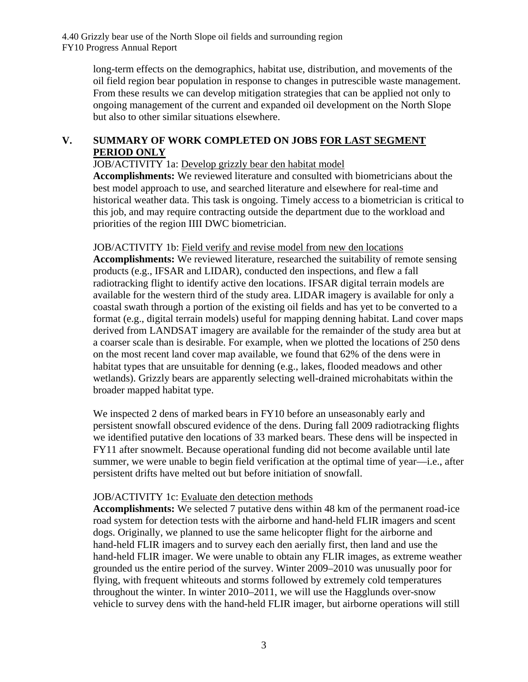> long-term effects on the demographics, habitat use, distribution, and movements of the oil field region bear population in response to changes in putrescible waste management. From these results we can develop mitigation strategies that can be applied not only to ongoing management of the current and expanded oil development on the North Slope but also to other similar situations elsewhere.

## **V. SUMMARY OF WORK COMPLETED ON JOBS FOR LAST SEGMENT PERIOD ONLY**

JOB/ACTIVITY 1a: Develop grizzly bear den habitat model

**Accomplishments:** We reviewed literature and consulted with biometricians about the best model approach to use, and searched literature and elsewhere for real-time and historical weather data. This task is ongoing. Timely access to a biometrician is critical to this job, and may require contracting outside the department due to the workload and priorities of the region IIII DWC biometrician.

#### JOB/ACTIVITY 1b: Field verify and revise model from new den locations

**Accomplishments:** We reviewed literature, researched the suitability of remote sensing products (e.g., IFSAR and LIDAR), conducted den inspections, and flew a fall radiotracking flight to identify active den locations. IFSAR digital terrain models are available for the western third of the study area. LIDAR imagery is available for only a coastal swath through a portion of the existing oil fields and has yet to be converted to a format (e.g., digital terrain models) useful for mapping denning habitat. Land cover maps derived from LANDSAT imagery are available for the remainder of the study area but at a coarser scale than is desirable. For example, when we plotted the locations of 250 dens on the most recent land cover map available, we found that 62% of the dens were in habitat types that are unsuitable for denning (e.g., lakes, flooded meadows and other wetlands). Grizzly bears are apparently selecting well-drained microhabitats within the broader mapped habitat type.

We inspected 2 dens of marked bears in FY10 before an unseasonably early and persistent snowfall obscured evidence of the dens. During fall 2009 radiotracking flights we identified putative den locations of 33 marked bears. These dens will be inspected in FY11 after snowmelt. Because operational funding did not become available until late summer, we were unable to begin field verification at the optimal time of year—i.e., after persistent drifts have melted out but before initiation of snowfall.

#### JOB/ACTIVITY 1c: Evaluate den detection methods

**Accomplishments:** We selected 7 putative dens within 48 km of the permanent road-ice road system for detection tests with the airborne and hand-held FLIR imagers and scent dogs. Originally, we planned to use the same helicopter flight for the airborne and hand-held FLIR imagers and to survey each den aerially first, then land and use the hand-held FLIR imager. We were unable to obtain any FLIR images, as extreme weather grounded us the entire period of the survey. Winter 2009–2010 was unusually poor for flying, with frequent whiteouts and storms followed by extremely cold temperatures throughout the winter. In winter 2010–2011, we will use the Hagglunds over-snow vehicle to survey dens with the hand-held FLIR imager, but airborne operations will still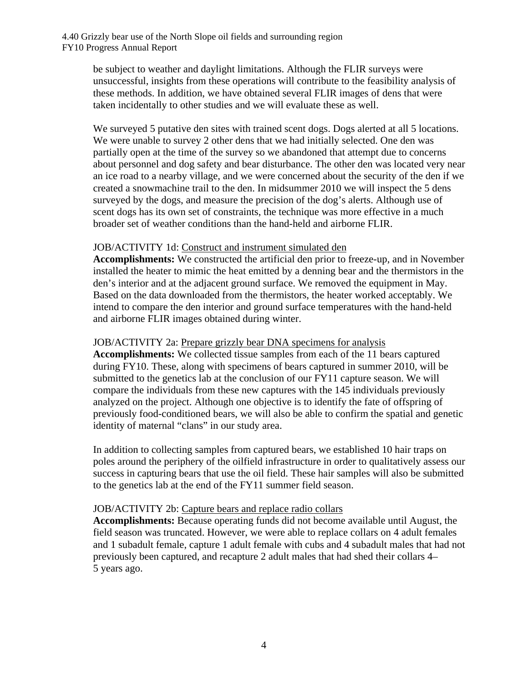be subject to weather and daylight limitations. Although the FLIR surveys were unsuccessful, insights from these operations will contribute to the feasibility analysis of these methods. In addition, we have obtained several FLIR images of dens that were taken incidentally to other studies and we will evaluate these as well.

We surveyed 5 putative den sites with trained scent dogs. Dogs alerted at all 5 locations. We were unable to survey 2 other dens that we had initially selected. One den was partially open at the time of the survey so we abandoned that attempt due to concerns about personnel and dog safety and bear disturbance. The other den was located very near an ice road to a nearby village, and we were concerned about the security of the den if we created a snowmachine trail to the den. In midsummer 2010 we will inspect the 5 dens surveyed by the dogs, and measure the precision of the dog's alerts. Although use of scent dogs has its own set of constraints, the technique was more effective in a much broader set of weather conditions than the hand-held and airborne FLIR.

#### JOB/ACTIVITY 1d: Construct and instrument simulated den

**Accomplishments:** We constructed the artificial den prior to freeze-up, and in November installed the heater to mimic the heat emitted by a denning bear and the thermistors in the den's interior and at the adjacent ground surface. We removed the equipment in May. Based on the data downloaded from the thermistors, the heater worked acceptably. We intend to compare the den interior and ground surface temperatures with the hand-held and airborne FLIR images obtained during winter.

#### JOB/ACTIVITY 2a: Prepare grizzly bear DNA specimens for analysis

**Accomplishments:** We collected tissue samples from each of the 11 bears captured during FY10. These, along with specimens of bears captured in summer 2010, will be submitted to the genetics lab at the conclusion of our FY11 capture season. We will compare the individuals from these new captures with the 145 individuals previously analyzed on the project. Although one objective is to identify the fate of offspring of previously food-conditioned bears, we will also be able to confirm the spatial and genetic identity of maternal "clans" in our study area.

In addition to collecting samples from captured bears, we established 10 hair traps on poles around the periphery of the oilfield infrastructure in order to qualitatively assess our success in capturing bears that use the oil field. These hair samples will also be submitted to the genetics lab at the end of the FY11 summer field season.

## JOB/ACTIVITY 2b: Capture bears and replace radio collars

**Accomplishments:** Because operating funds did not become available until August, the field season was truncated. However, we were able to replace collars on 4 adult females and 1 subadult female, capture 1 adult female with cubs and 4 subadult males that had not previously been captured, and recapture 2 adult males that had shed their collars 4– 5 years ago.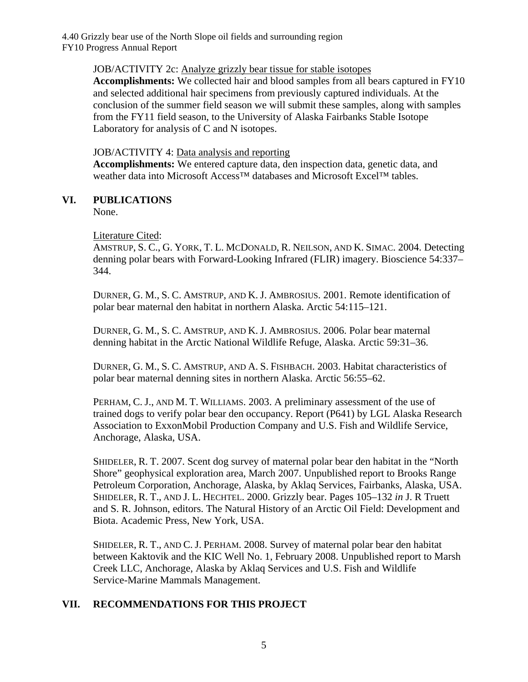### JOB/ACTIVITY 2c: Analyze grizzly bear tissue for stable isotopes

**Accomplishments:** We collected hair and blood samples from all bears captured in FY10 and selected additional hair specimens from previously captured individuals. At the conclusion of the summer field season we will submit these samples, along with samples from the FY11 field season, to the University of Alaska Fairbanks Stable Isotope Laboratory for analysis of C and N isotopes.

### JOB/ACTIVITY 4: Data analysis and reporting

**Accomplishments:** We entered capture data, den inspection data, genetic data, and weather data into Microsoft Access<sup>™</sup> databases and Microsoft Excel™ tables.

## **VI. PUBLICATIONS**

None.

#### Literature Cited:

 AMSTRUP, S. C., G. YORK, T. L. MCDONALD, R. NEILSON, AND K. SIMAC. 2004. Detecting denning polar bears with Forward-Looking Infrared (FLIR) imagery. Bioscience 54:337– 344.

 DURNER, G. M., S. C. AMSTRUP, AND K. J. AMBROSIUS. 2001. Remote identification of polar bear maternal den habitat in northern Alaska. Arctic 54:115–121.

 DURNER, G. M., S. C. AMSTRUP, AND K. J. AMBROSIUS. 2006. Polar bear maternal denning habitat in the Arctic National Wildlife Refuge, Alaska. Arctic 59:31–36.

 DURNER, G. M., S. C. AMSTRUP, AND A. S. FISHBACH. 2003. Habitat characteristics of polar bear maternal denning sites in northern Alaska. Arctic 56:55–62.

 PERHAM, C. J., AND M. T. WILLIAMS. 2003. A preliminary assessment of the use of trained dogs to verify polar bear den occupancy. Report (P641) by LGL Alaska Research Association to ExxonMobil Production Company and U.S. Fish and Wildlife Service, Anchorage, Alaska, USA.

 SHIDELER, R. T. 2007. Scent dog survey of maternal polar bear den habitat in the "North SHIDELER, R. T., AND J. L. HECHTEL. 2000. Grizzly bear. Pages 105–132 *in* J. R Truett Shore" geophysical exploration area, March 2007. Unpublished report to Brooks Range Petroleum Corporation, Anchorage, Alaska, by Aklaq Services, Fairbanks, Alaska, USA. and S. R. Johnson, editors. The Natural History of an Arctic Oil Field: Development and Biota. Academic Press, New York, USA.

 SHIDELER, R. T., AND C. J. PERHAM. 2008. Survey of maternal polar bear den habitat between Kaktovik and the KIC Well No. 1, February 2008. Unpublished report to Marsh Creek LLC, Anchorage, Alaska by Aklaq Services and U.S. Fish and Wildlife Service-Marine Mammals Management.

## **VII. RECOMMENDATIONS FOR THIS PROJECT**